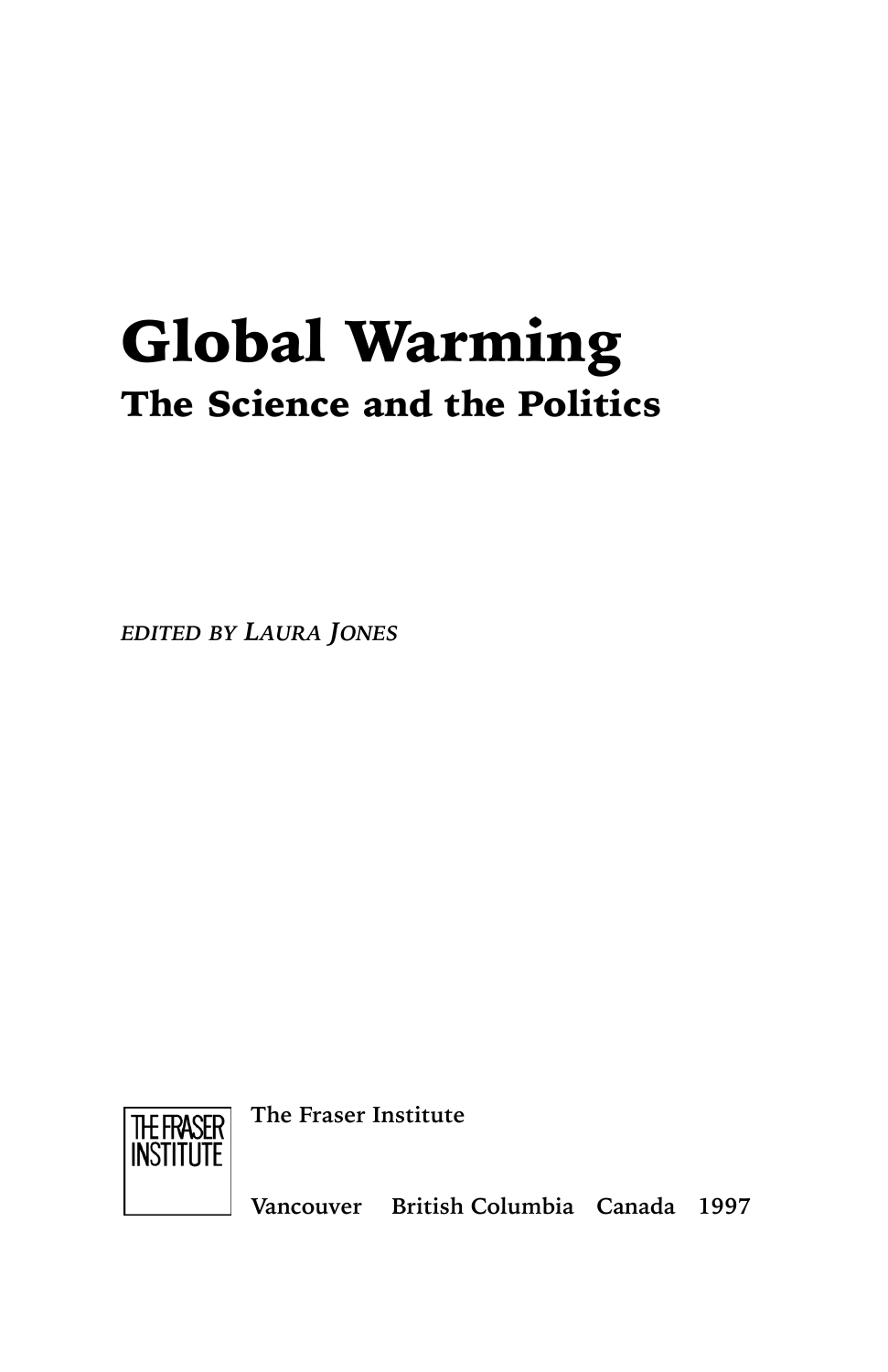## Global Warming The Science and the Politics

*EDITED BY LAURA JONES*



**The Fraser Institute**

**Vancouver British Columbia Canada 1997**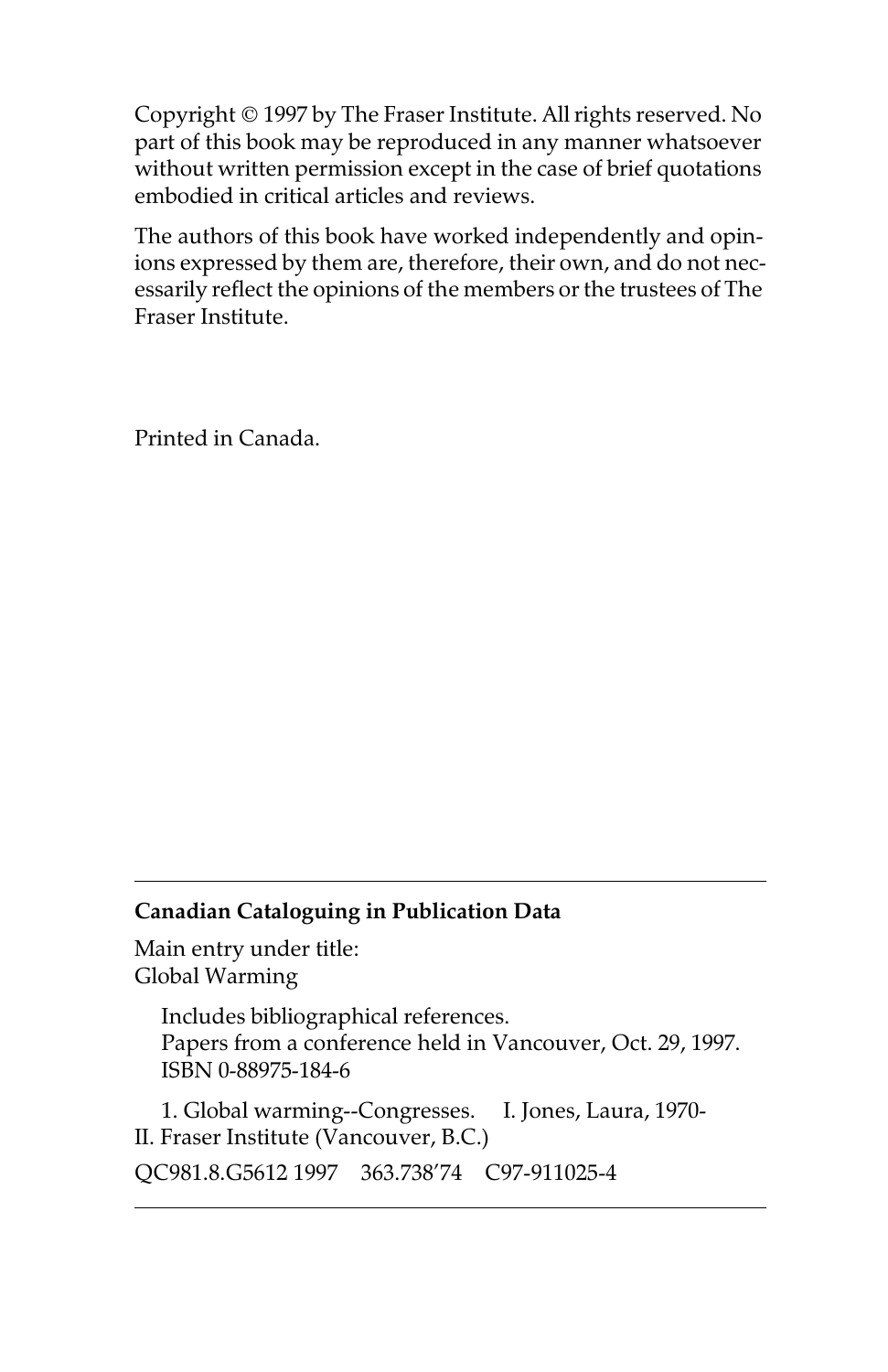Copyright © 1997 by The Fraser Institute. All rights reserved. No part of this book may be reproduced in any manner whatsoever without written permission except in the case of brief quotations embodied in critical articles and reviews.

The authors of this book have worked independently and opinions expressed by them are, therefore, their own, and do not necessarily reflect the opinions of the members or the trustees of The Fraser Institute.

Printed in Canada.

## **Canadian Cataloguing in Publication Data**

Main entry under title: Global Warming

> Includes bibliographical references. Papers from a conference held in Vancouver, Oct. 29, 1997. ISBN 0-88975-184-6

1. Global warming--Congresses. I. Jones, Laura, 1970- II. Fraser Institute (Vancouver, B.C.) QC981.8.G5612 1997 363.738'74 C97-911025-4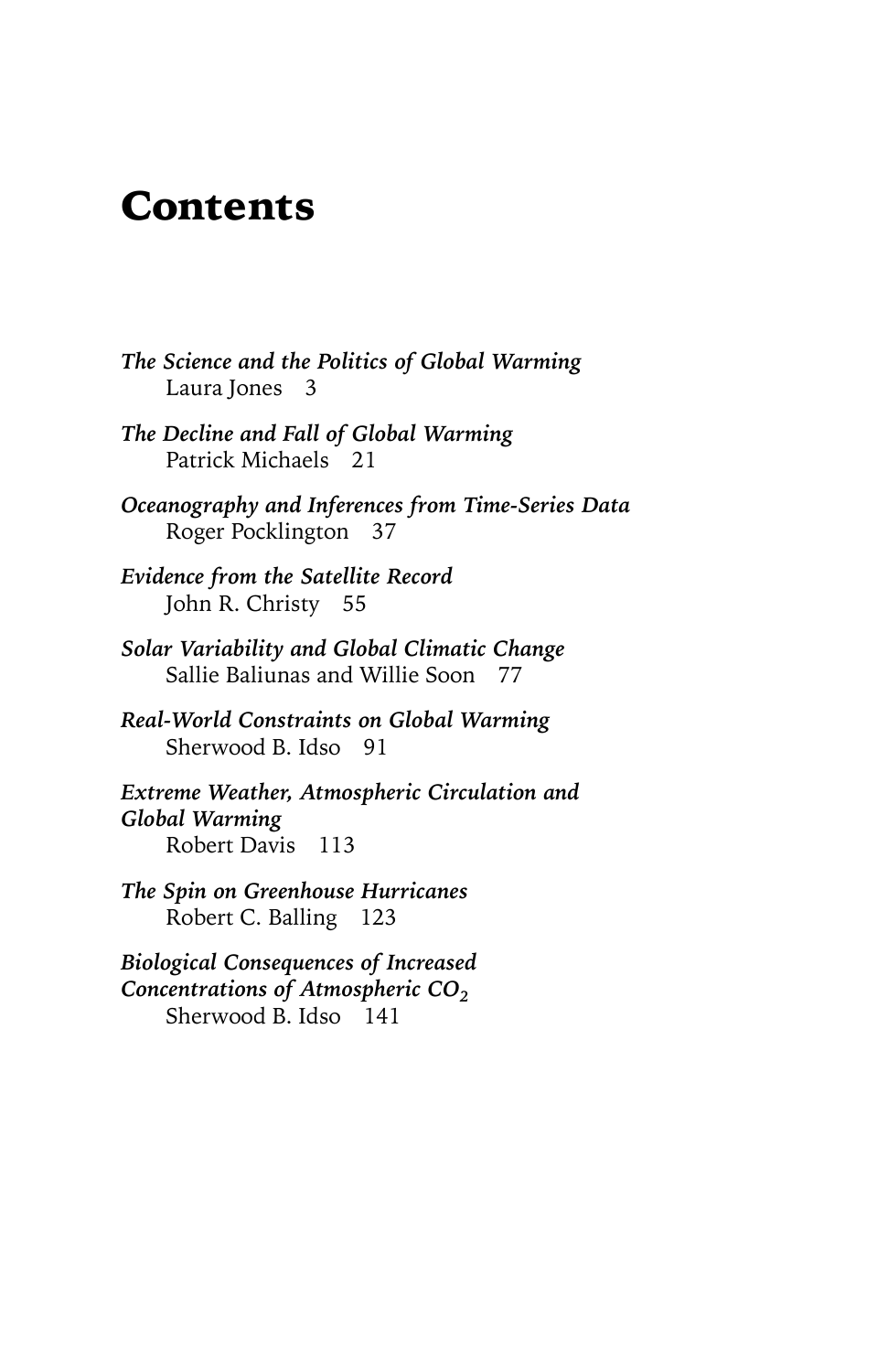## Contents

- *The Science and the Politics of Global Warming* Laura Jones 3
- *The Decline and Fall of Global Warming* Patrick Michaels 21
- *Oceanography and Inferences from Time-Series Data* Roger Pocklington 37
- *Evidence from the Satellite Record* John R. Christy 55
- *Solar Variability and Global Climatic Change* Sallie Baliunas and Willie Soon 77
- *Real-World Constraints on Global Warming* Sherwood B. Idso 91
- *Extreme Weather, Atmospheric Circulation and Global Warming* Robert Davis 113
- *The Spin on Greenhouse Hurricanes* Robert C. Balling 123
- *Biological Consequences of Increased Concentrations of Atmospheric CO<sub>2</sub>* Sherwood B. Idso 141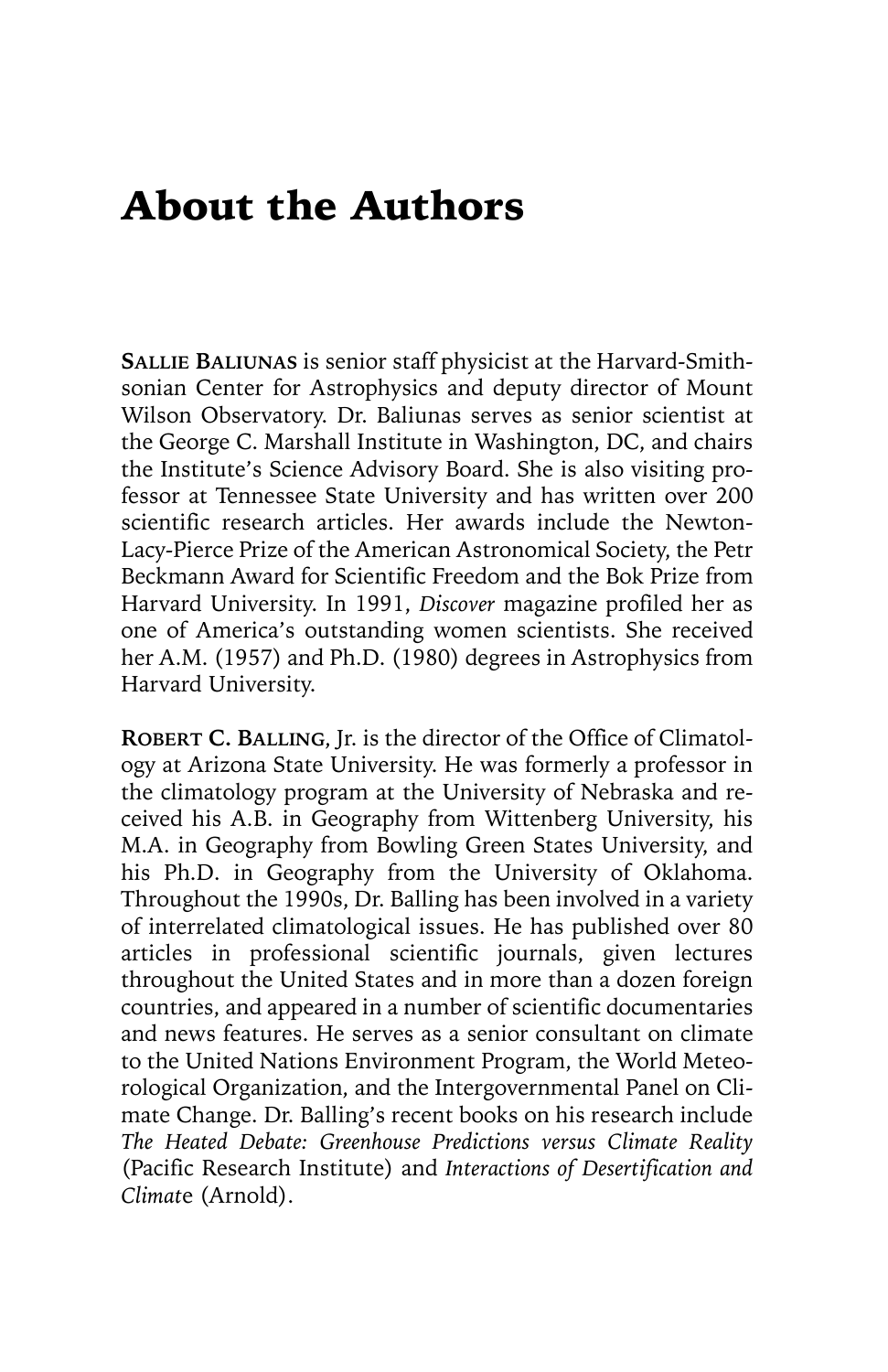## About the Authors

**SALLIE BALIUNAS** is senior staff physicist at the Harvard-Smithsonian Center for Astrophysics and deputy director of Mount Wilson Observatory. Dr. Baliunas serves as senior scientist at the George C. Marshall Institute in Washington, DC, and chairs the Institute's Science Advisory Board. She is also visiting professor at Tennessee State University and has written over 200 scientific research articles. Her awards include the Newton-Lacy-Pierce Prize of the American Astronomical Society, the Petr Beckmann Award for Scientific Freedom and the Bok Prize from Harvard University. In 1991, *Discover* magazine profiled her as one of America's outstanding women scientists. She received her A.M. (1957) and Ph.D. (1980) degrees in Astrophysics from Harvard University.

**ROBERT C. BALLING**, Jr. is the director of the Office of Climatology at Arizona State University. He was formerly a professor in the climatology program at the University of Nebraska and received his A.B. in Geography from Wittenberg University, his M.A. in Geography from Bowling Green States University, and his Ph.D. in Geography from the University of Oklahoma. Throughout the 1990s, Dr. Balling has been involved in a variety of interrelated climatological issues. He has published over 80 articles in professional scientific journals, given lectures throughout the United States and in more than a dozen foreign countries, and appeared in a number of scientific documentaries and news features. He serves as a senior consultant on climate to the United Nations Environment Program, the World Meteorological Organization, and the Intergovernmental Panel on Climate Change. Dr. Balling's recent books on his research include *The Heated Debate: Greenhouse Predictions versus Climate Reality* (Pacific Research Institute) and *Interactions of Desertification and Climat*e (Arnold).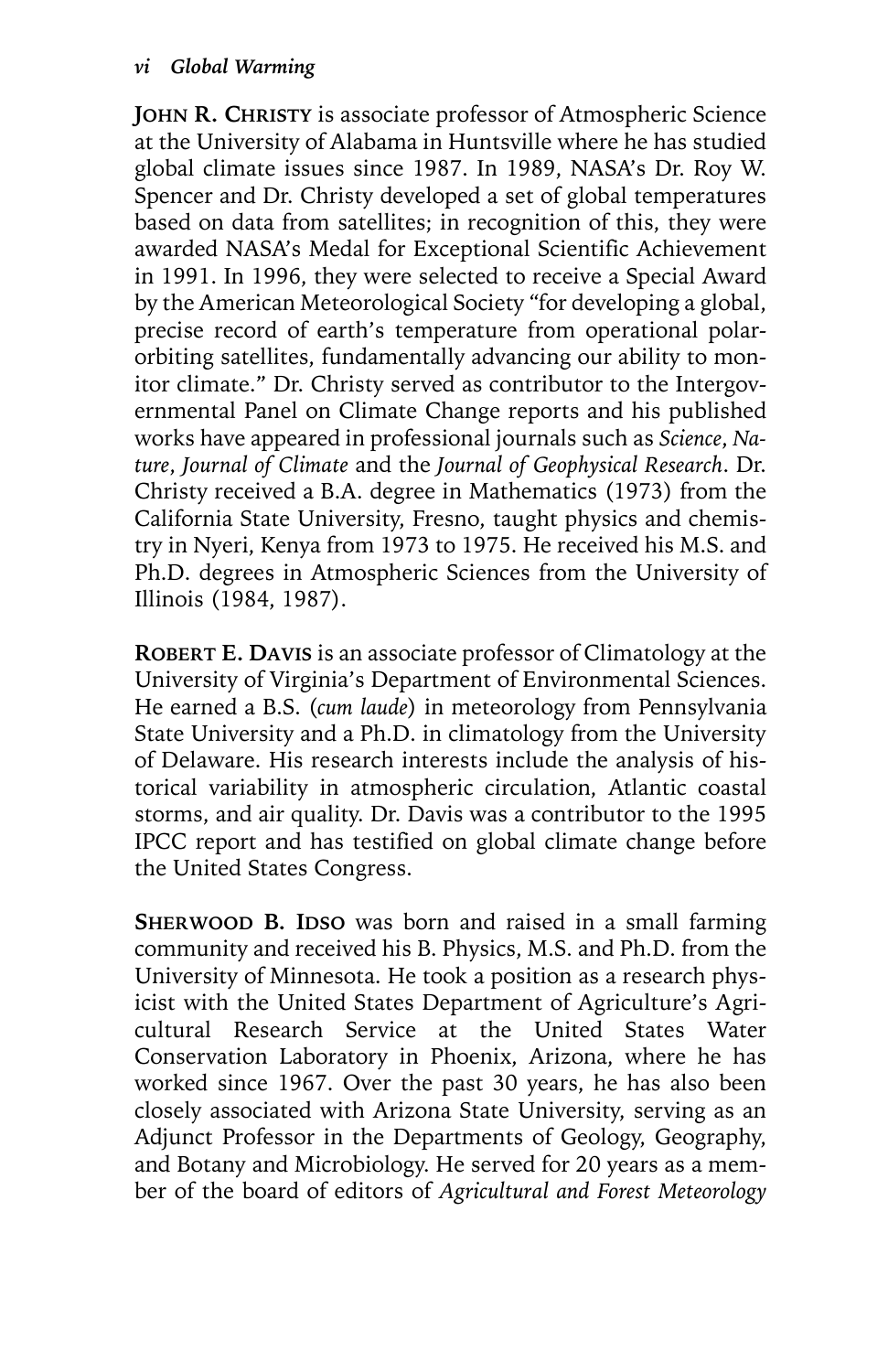**JOHN R. CHRISTY** is associate professor of Atmospheric Science at the University of Alabama in Huntsville where he has studied global climate issues since 1987. In 1989, NASA's Dr. Roy W. Spencer and Dr. Christy developed a set of global temperatures based on data from satellites; in recognition of this, they were awarded NASA's Medal for Exceptional Scientific Achievement in 1991. In 1996, they were selected to receive a Special Award by the American Meteorological Society "for developing a global, precise record of earth's temperature from operational polarorbiting satellites, fundamentally advancing our ability to monitor climate." Dr. Christy served as contributor to the Intergovernmental Panel on Climate Change reports and his published works have appeared in professional journals such as *Science*, *Nature*, *Journal of Climate* and the *Journal of Geophysical Research*. Dr. Christy received a B.A. degree in Mathematics (1973) from the California State University, Fresno, taught physics and chemistry in Nyeri, Kenya from 1973 to 1975. He received his M.S. and Ph.D. degrees in Atmospheric Sciences from the University of Illinois (1984, 1987).

**ROBERT E. DAVIS** is an associate professor of Climatology at the University of Virginia's Department of Environmental Sciences. He earned a B.S. (*cum laude*) in meteorology from Pennsylvania State University and a Ph.D. in climatology from the University of Delaware. His research interests include the analysis of historical variability in atmospheric circulation, Atlantic coastal storms, and air quality. Dr. Davis was a contributor to the 1995 IPCC report and has testified on global climate change before the United States Congress.

**SHERWOOD B. IDSO** was born and raised in a small farming community and received his B. Physics, M.S. and Ph.D. from the University of Minnesota. He took a position as a research physicist with the United States Department of Agriculture's Agricultural Research Service at the United States Water Conservation Laboratory in Phoenix, Arizona, where he has worked since 1967. Over the past 30 years, he has also been closely associated with Arizona State University, serving as an Adjunct Professor in the Departments of Geology, Geography, and Botany and Microbiology. He served for 20 years as a member of the board of editors of *Agricultural and Forest Meteorology*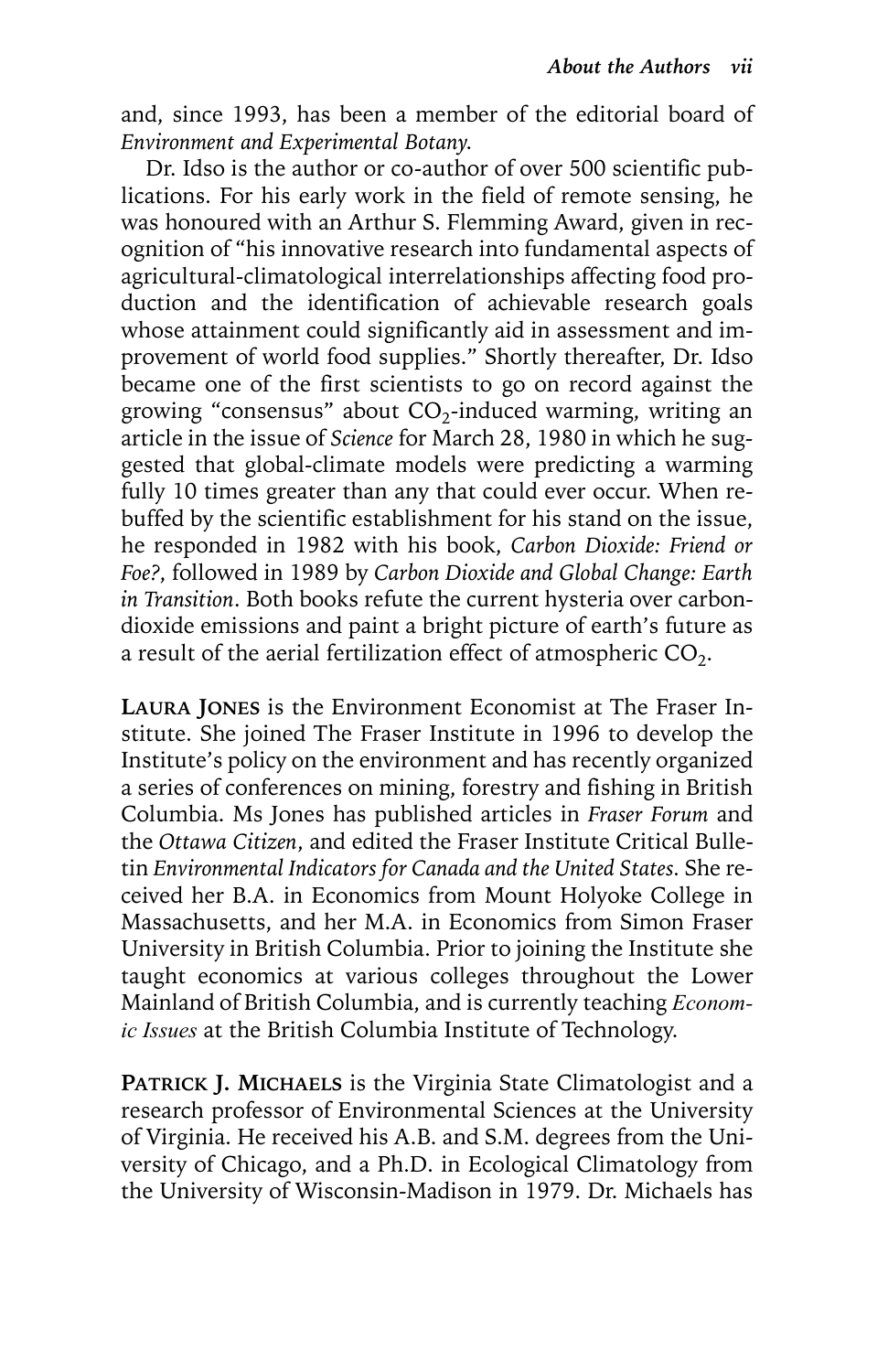and, since 1993, has been a member of the editorial board of *Environment and Experimental Botany*.

Dr. Idso is the author or co-author of over 500 scientific publications. For his early work in the field of remote sensing, he was honoured with an Arthur S. Flemming Award, given in recognition of "his innovative research into fundamental aspects of agricultural-climatological interrelationships affecting food production and the identification of achievable research goals whose attainment could significantly aid in assessment and improvement of world food supplies." Shortly thereafter, Dr. Idso became one of the first scientists to go on record against the growing "consensus" about  $CO<sub>2</sub>$ -induced warming, writing an article in the issue of *Science* for March 28, 1980 in which he suggested that global-climate models were predicting a warming fully 10 times greater than any that could ever occur. When rebuffed by the scientific establishment for his stand on the issue, he responded in 1982 with his book, *Carbon Dioxide: Friend or Foe?*, followed in 1989 by *Carbon Dioxide and Global Change: Earth in Transition*. Both books refute the current hysteria over carbondioxide emissions and paint a bright picture of earth's future as a result of the aerial fertilization effect of atmospheric  $CO<sub>2</sub>$ .

**LAURA JONES** is the Environment Economist at The Fraser Institute. She joined The Fraser Institute in 1996 to develop the Institute's policy on the environment and has recently organized a series of conferences on mining, forestry and fishing in British Columbia. Ms Jones has published articles in *Fraser Forum* and the *Ottawa Citizen*, and edited the Fraser Institute Critical Bulletin *Environmental Indicators for Canada and the United States.* She received her B.A. in Economics from Mount Holyoke College in Massachusetts, and her M.A. in Economics from Simon Fraser University in British Columbia. Prior to joining the Institute she taught economics at various colleges throughout the Lower Mainland of British Columbia, and is currently teaching *Economic Issues* at the British Columbia Institute of Technology.

**PATRICK J. MICHAELS** is the Virginia State Climatologist and a research professor of Environmental Sciences at the University of Virginia. He received his A.B. and S.M. degrees from the University of Chicago, and a Ph.D. in Ecological Climatology from the University of Wisconsin-Madison in 1979. Dr. Michaels has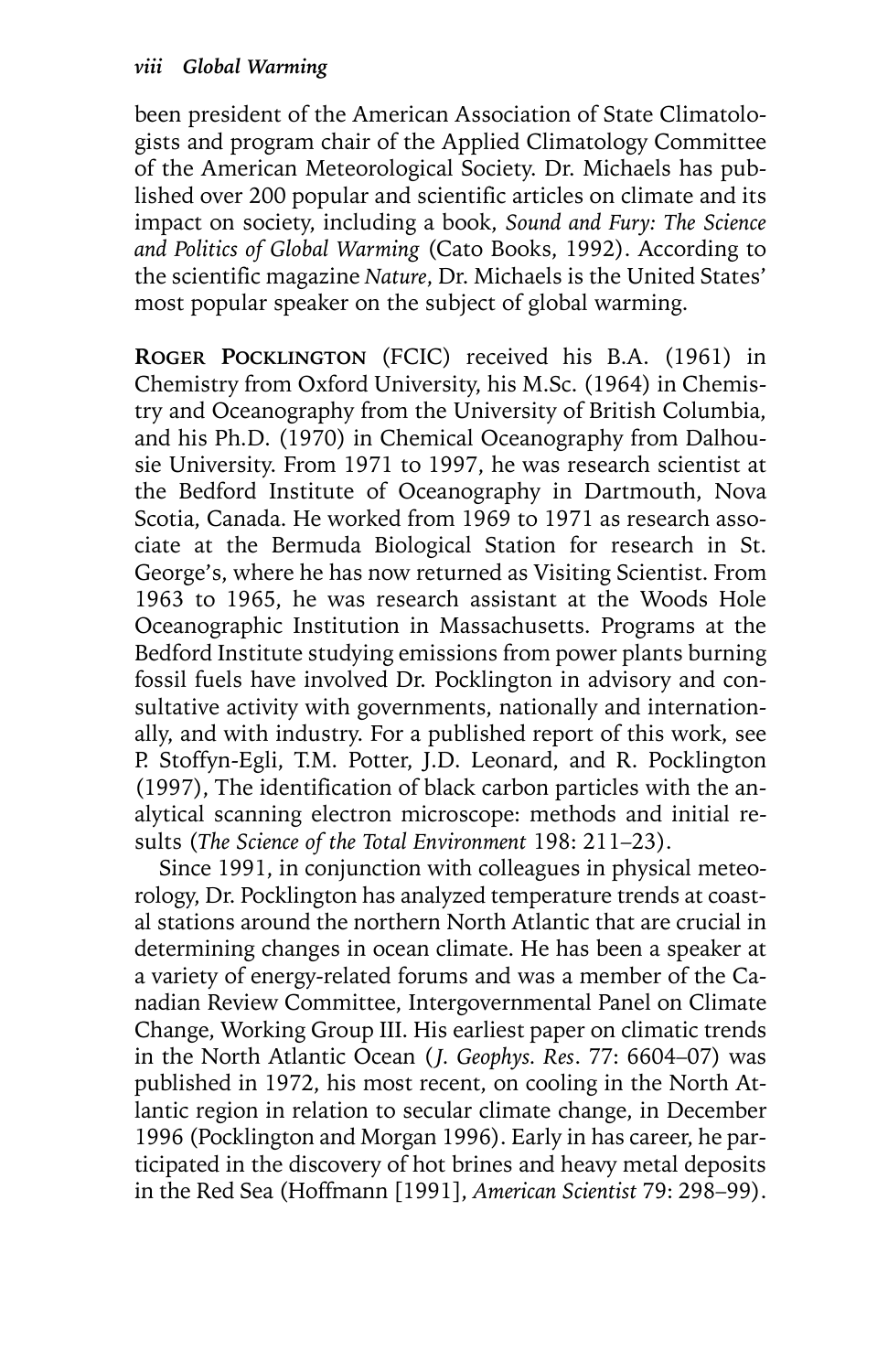been president of the American Association of State Climatologists and program chair of the Applied Climatology Committee of the American Meteorological Society. Dr. Michaels has published over 200 popular and scientific articles on climate and its impact on society, including a book, *Sound and Fury: The Science and Politics of Global Warming* (Cato Books, 1992). According to the scientific magazine *Nature*, Dr. Michaels is the United States' most popular speaker on the subject of global warming.

**ROGER POCKLINGTON** (FCIC) received his B.A. (1961) in Chemistry from Oxford University, his M.Sc. (1964) in Chemistry and Oceanography from the University of British Columbia, and his Ph.D. (1970) in Chemical Oceanography from Dalhousie University. From 1971 to 1997, he was research scientist at the Bedford Institute of Oceanography in Dartmouth, Nova Scotia, Canada. He worked from 1969 to 1971 as research associate at the Bermuda Biological Station for research in St. George's, where he has now returned as Visiting Scientist. From 1963 to 1965, he was research assistant at the Woods Hole Oceanographic Institution in Massachusetts. Programs at the Bedford Institute studying emissions from power plants burning fossil fuels have involved Dr. Pocklington in advisory and consultative activity with governments, nationally and internationally, and with industry. For a published report of this work, see P. Stoffyn-Egli, T.M. Potter, J.D. Leonard, and R. Pocklington (1997), The identification of black carbon particles with the analytical scanning electron microscope: methods and initial results (*The Science of the Total Environment* 198: 211–23).

Since 1991, in conjunction with colleagues in physical meteorology, Dr. Pocklington has analyzed temperature trends at coastal stations around the northern North Atlantic that are crucial in determining changes in ocean climate. He has been a speaker at a variety of energy-related forums and was a member of the Canadian Review Committee, Intergovernmental Panel on Climate Change, Working Group III. His earliest paper on climatic trends in the North Atlantic Ocean (*J. Geophys. Res. 77*: 6604-07) was published in 1972, his most recent, on cooling in the North Atlantic region in relation to secular climate change, in December 1996 (Pocklington and Morgan 1996). Early in has career, he participated in the discovery of hot brines and heavy metal deposits in the Red Sea (Hoffmann [1991], *American Scientist* 79: 298–99).